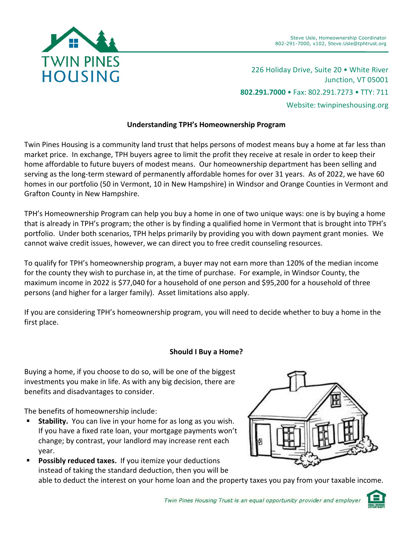

 226 Holiday Drive, Suite 20 • White River Junction, VT 05001 **802.291.7000** • Fax: 802.291.7273 • TTY: 711 Website: twinpineshousing.org

## **Understanding TPH's Homeownership Program**

Twin Pines Housing is a community land trust that helps persons of modest means buy a home at far less than market price. In exchange, TPH buyers agree to limit the profit they receive at resale in order to keep their home affordable to future buyers of modest means. Our homeownership department has been selling and serving as the long-term steward of permanently affordable homes for over 31 years. As of 2022, we have 60 homes in our portfolio (50 in Vermont, 10 in New Hampshire) in Windsor and Orange Counties in Vermont and Grafton County in New Hampshire.

TPH's Homeownership Program can help you buy a home in one of two unique ways: one is by buying a home that is already in TPH's program; the other is by finding a qualified home in Vermont that is brought into TPH's portfolio. Under both scenarios, TPH helps primarily by providing you with down payment grant monies. We cannot waive credit issues, however, we can direct you to free credit counseling resources.

To qualify for TPH's homeownership program, a buyer may not earn more than 120% of the median income for the county they wish to purchase in, at the time of purchase. For example, in Windsor County, the maximum income in 2022 is \$77,040 for a household of one person and \$95,200 for a household of three persons (and higher for a larger family). Asset limitations also apply.

If you are considering TPH's homeownership program, you will need to decide whether to buy a home in the first place.

## **Should I Buy a Home?**

Buying a home, if you choose to do so, will be one of the biggest investments you make in life. As with any big decision, there are benefits and disadvantages to consider.

The benefits of homeownership include:

- **Stability.** You can live in your home for as long as you wish. If you have a fixed rate loan, your mortgage payments won't change; by contrast, your landlord may increase rent each year.
- 
- **Possibly reduced taxes.** If you itemize your deductions instead of taking the standard deduction, then you will be able to deduct the interest on your home loan and the property taxes you pay from your taxable income.

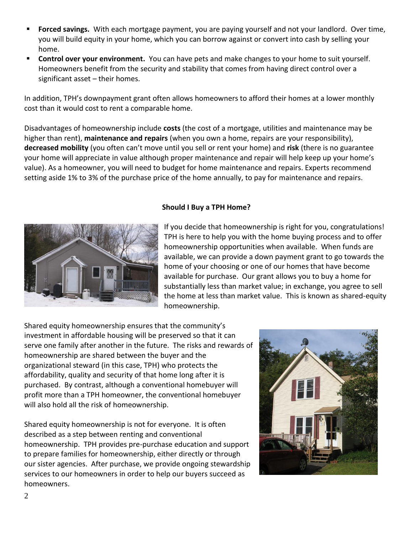- Forced savings. With each mortgage payment, you are paying yourself and not your landlord. Over time, you will build equity in your home, which you can borrow against or convert into cash by selling your home.
- **EXTE:** Control over your environment. You can have pets and make changes to your home to suit yourself. Homeowners benefit from the security and stability that comes from having direct control over a significant asset – their homes.

In addition, TPH's downpayment grant often allows homeowners to afford their homes at a lower monthly cost than it would cost to rent a comparable home.

Disadvantages of homeownership include **costs** (the cost of a mortgage, utilities and maintenance may be higher than rent), **maintenance and repairs** (when you own a home, repairs are your responsibility), **decreased mobility** (you often can't move until you sell or rent your home) and **risk** (there is no guarantee your home will appreciate in value although proper maintenance and repair will help keep up your home's value). As a homeowner, you will need to budget for home maintenance and repairs. Experts recommend setting aside 1% to 3% of the purchase price of the home annually, to pay for maintenance and repairs.



# **Should I Buy a TPH Home?**

If you decide that homeownership is right for you, congratulations! TPH is here to help you with the home buying process and to offer homeownership opportunities when available. When funds are available, we can provide a down payment grant to go towards the home of your choosing or one of our homes that have become available for purchase. Our grant allows you to buy a home for substantially less than market value; in exchange, you agree to sell the home at less than market value. This is known as shared-equity homeownership.

Shared equity homeownership ensures that the community's investment in affordable housing will be preserved so that it can serve one family after another in the future. The risks and rewards of homeownership are shared between the buyer and the organizational steward (in this case, TPH) who protects the affordability, quality and security of that home long after it is purchased. By contrast, although a conventional homebuyer will profit more than a TPH homeowner, the conventional homebuyer will also hold all the risk of homeownership.

Shared equity homeownership is not for everyone. It is often described as a step between renting and conventional homeownership. TPH provides pre-purchase education and support to prepare families for homeownership, either directly or through our sister agencies. After purchase, we provide ongoing stewardship services to our homeowners in order to help our buyers succeed as homeowners.

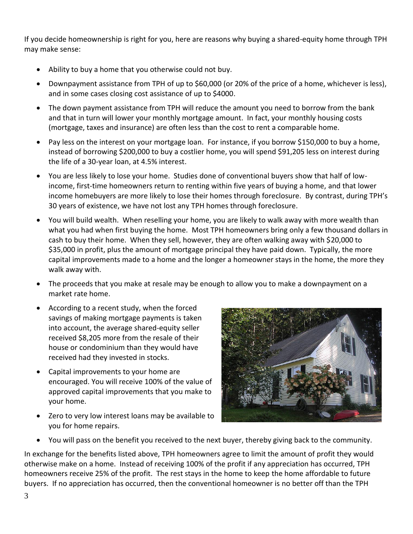If you decide homeownership is right for you, here are reasons why buying a shared-equity home through TPH may make sense:

- Ability to buy a home that you otherwise could not buy.
- Downpayment assistance from TPH of up to \$60,000 (or 20% of the price of a home, whichever is less), and in some cases closing cost assistance of up to \$4000.
- The down payment assistance from TPH will reduce the amount you need to borrow from the bank and that in turn will lower your monthly mortgage amount. In fact, your monthly housing costs (mortgage, taxes and insurance) are often less than the cost to rent a comparable home.
- Pay less on the interest on your mortgage loan. For instance, if you borrow \$150,000 to buy a home, instead of borrowing \$200,000 to buy a costlier home, you will spend \$91,205 less on interest during the life of a 30-year loan, at 4.5% interest.
- You are less likely to lose your home. Studies done of conventional buyers show that half of lowincome, first-time homeowners return to renting within five years of buying a home, and that lower income homebuyers are more likely to lose their homes through foreclosure. By contrast, during TPH's 30 years of existence, we have not lost any TPH homes through foreclosure.
- You will build wealth. When reselling your home, you are likely to walk away with more wealth than what you had when first buying the home. Most TPH homeowners bring only a few thousand dollars in cash to buy their home. When they sell, however, they are often walking away with \$20,000 to \$35,000 in profit, plus the amount of mortgage principal they have paid down. Typically, the more capital improvements made to a home and the longer a homeowner stays in the home, the more they walk away with.
- The proceeds that you make at resale may be enough to allow you to make a downpayment on a market rate home.
- According to a recent study, when the forced savings of making mortgage payments is taken into account, the average shared-equity seller received \$8,205 more from the resale of their house or condominium than they would have received had they invested in stocks.
- Capital improvements to your home are encouraged. You will receive 100% of the value of approved capital improvements that you make to your home.
- Zero to very low interest loans may be available to you for home repairs.



• You will pass on the benefit you received to the next buyer, thereby giving back to the community.

In exchange for the benefits listed above, TPH homeowners agree to limit the amount of profit they would otherwise make on a home. Instead of receiving 100% of the profit if any appreciation has occurred, TPH homeowners receive 25% of the profit. The rest stays in the home to keep the home affordable to future buyers. If no appreciation has occurred, then the conventional homeowner is no better off than the TPH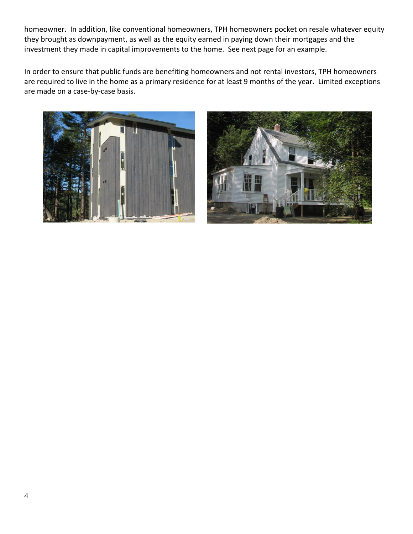homeowner. In addition, like conventional homeowners, TPH homeowners pocket on resale whatever equity they brought as downpayment, as well as the equity earned in paying down their mortgages and the investment they made in capital improvements to the home. See next page for an example.

In order to ensure that public funds are benefiting homeowners and not rental investors, TPH homeowners are required to live in the home as a primary residence for at least 9 months of the year. Limited exceptions are made on a case-by-case basis.